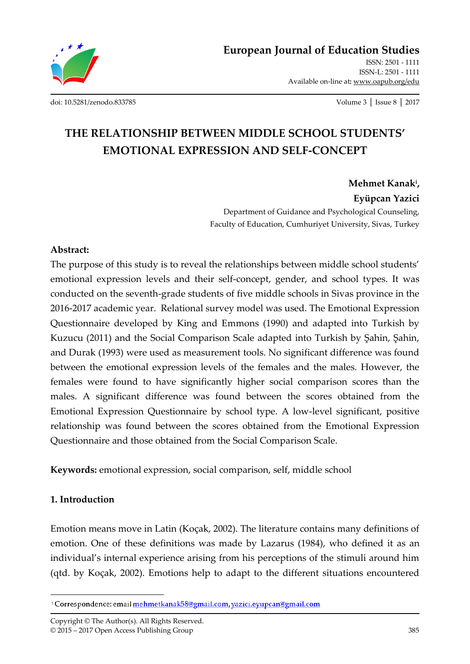

**European Journal of Education Studies**

ISSN: 2501 - 1111 ISSN-L: 2501 - 1111 Available on-line at**:** www.oapub.org/edu

[doi: 10.5281/zenodo.833785](http://dx.doi.org/10.5281/zenodo.833785) Volume 3 │ Issue 8 │ 2017

# **THE RELATIONSHIP BETWEEN MIDDLE SCHOOL STUDENTS' EMOTIONAL EXPRESSION AND SELF-CONCEPT**

**Mehmet Kanak<sup>i</sup> , Eyüpcan Yazici** Department of Guidance and Psychological Counseling, Faculty of Education, Cumhuriyet University, Sivas, Turkey

#### **Abstract:**

The purpose of this study is to reveal the relationships between middle school students' emotional expression levels and their self-concept, gender, and school types. It was conducted on the seventh-grade students of five middle schools in Sivas province in the 2016-2017 academic year. Relational survey model was used. The Emotional Expression Questionnaire developed by King and Emmons (1990) and adapted into Turkish by Kuzucu (2011) and the Social Comparison Scale adapted into Turkish by Şahin, Şahin, and Durak (1993) were used as measurement tools. No significant difference was found between the emotional expression levels of the females and the males. However, the females were found to have significantly higher social comparison scores than the males. A significant difference was found between the scores obtained from the Emotional Expression Questionnaire by school type. A low-level significant, positive relationship was found between the scores obtained from the Emotional Expression Questionnaire and those obtained from the Social Comparison Scale.

**Keywords:** emotional expression, social comparison, self, middle school

#### **1. Introduction**

Emotion means move in Latin (Koçak, 2002). The literature contains many definitions of emotion. One of these definitions was made by Lazarus (1984), who defined it as an individual's internal experience arising from his perceptions of the stimuli around him (qtd. by Koçak, 2002). Emotions help to adapt to the different situations encountered

Copyright © The Author(s). All Rights Reserved. © 2015 – 2017 Open Access Publishing Group 385

 $\overline{\phantom{a}}$ <sup>1</sup> Correspondence: email mehmetkanak58@gmail.com, yazici.eyupcan@gmail.com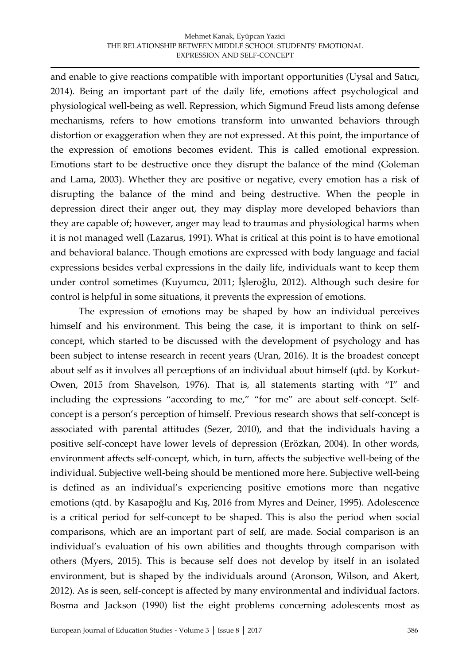and enable to give reactions compatible with important opportunities (Uysal and Satıcı, 2014). Being an important part of the daily life, emotions affect psychological and physiological well-being as well. Repression, which Sigmund Freud lists among defense mechanisms, refers to how emotions transform into unwanted behaviors through distortion or exaggeration when they are not expressed. At this point, the importance of the expression of emotions becomes evident. This is called emotional expression. Emotions start to be destructive once they disrupt the balance of the mind (Goleman and Lama, 2003). Whether they are positive or negative, every emotion has a risk of disrupting the balance of the mind and being destructive. When the people in depression direct their anger out, they may display more developed behaviors than they are capable of; however, anger may lead to traumas and physiological harms when it is not managed well (Lazarus, 1991). What is critical at this point is to have emotional and behavioral balance. Though emotions are expressed with body language and facial expressions besides verbal expressions in the daily life, individuals want to keep them under control sometimes (Kuyumcu, 2011; İşleroğlu, 2012). Although such desire for control is helpful in some situations, it prevents the expression of emotions.

The expression of emotions may be shaped by how an individual perceives himself and his environment. This being the case, it is important to think on selfconcept, which started to be discussed with the development of psychology and has been subject to intense research in recent years (Uran, 2016). It is the broadest concept about self as it involves all perceptions of an individual about himself (qtd. by Korkut-Owen, 2015 from Shavelson, 1976). That is, all statements starting with "I" and including the expressions "according to me," "for me" are about self-concept. Selfconcept is a person's perception of himself. Previous research shows that self-concept is associated with parental attitudes (Sezer, 2010), and that the individuals having a positive self-concept have lower levels of depression (Erözkan, 2004). In other words, environment affects self-concept, which, in turn, affects the subjective well-being of the individual. Subjective well-being should be mentioned more here. Subjective well-being is defined as an individual's experiencing positive emotions more than negative emotions (qtd. by Kasapoğlu and Kış, 2016 from Myres and Deiner, 1995). Adolescence is a critical period for self-concept to be shaped. This is also the period when social comparisons, which are an important part of self, are made. Social comparison is an individual's evaluation of his own abilities and thoughts through comparison with others (Myers, 2015). This is because self does not develop by itself in an isolated environment, but is shaped by the individuals around (Aronson, Wilson, and Akert, 2012). As is seen, self-concept is affected by many environmental and individual factors. Bosma and Jackson (1990) list the eight problems concerning adolescents most as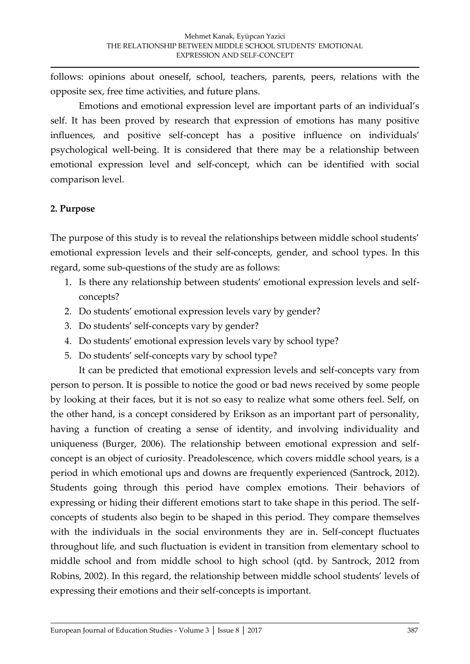follows: opinions about oneself, school, teachers, parents, peers, relations with the opposite sex, free time activities, and future plans.

Emotions and emotional expression level are important parts of an individual's self. It has been proved by research that expression of emotions has many positive influences, and positive self-concept has a positive influence on individuals' psychological well-being. It is considered that there may be a relationship between emotional expression level and self-concept, which can be identified with social comparison level.

#### **2. Purpose**

The purpose of this study is to reveal the relationships between middle school students' emotional expression levels and their self-concepts, gender, and school types. In this regard, some sub-questions of the study are as follows:

- 1. Is there any relationship between students' emotional expression levels and selfconcepts?
- 2. Do students' emotional expression levels vary by gender?
- 3. Do students' self-concepts vary by gender?
- 4. Do students' emotional expression levels vary by school type?
- 5. Do students' self-concepts vary by school type?

It can be predicted that emotional expression levels and self-concepts vary from person to person. It is possible to notice the good or bad news received by some people by looking at their faces, but it is not so easy to realize what some others feel. Self, on the other hand, is a concept considered by Erikson as an important part of personality, having a function of creating a sense of identity, and involving individuality and uniqueness (Burger, 2006). The relationship between emotional expression and selfconcept is an object of curiosity. Preadolescence, which covers middle school years, is a period in which emotional ups and downs are frequently experienced (Santrock, 2012). Students going through this period have complex emotions. Their behaviors of expressing or hiding their different emotions start to take shape in this period. The selfconcepts of students also begin to be shaped in this period. They compare themselves with the individuals in the social environments they are in. Self-concept fluctuates throughout life, and such fluctuation is evident in transition from elementary school to middle school and from middle school to high school (qtd. by Santrock, 2012 from Robins, 2002). In this regard, the relationship between middle school students' levels of expressing their emotions and their self-concepts is important.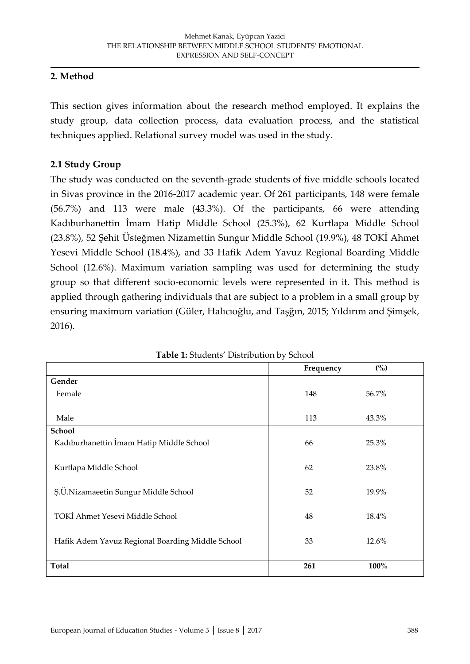#### **2. Method**

This section gives information about the research method employed. It explains the study group, data collection process, data evaluation process, and the statistical techniques applied. Relational survey model was used in the study.

#### **2.1 Study Group**

The study was conducted on the seventh-grade students of five middle schools located in Sivas province in the 2016-2017 academic year. Of 261 participants, 148 were female (56.7%) and 113 were male (43.3%). Of the participants, 66 were attending Kadıburhanettin İmam Hatip Middle School (25.3%), 62 Kurtlapa Middle School (23.8%), 52 Şehit Üsteğmen Nizamettin Sungur Middle School (19.9%), 48 TOKİ Ahmet Yesevi Middle School (18.4%), and 33 Hafik Adem Yavuz Regional Boarding Middle School (12.6%). Maximum variation sampling was used for determining the study group so that different socio-economic levels were represented in it. This method is applied through gathering individuals that are subject to a problem in a small group by ensuring maximum variation (Güler, Halıcıoğlu, and Taşğın, 2015; Yıldırım and Şimşek, 2016).

|                                                  | Frequency | (%)   |
|--------------------------------------------------|-----------|-------|
| Gender                                           |           |       |
| Female                                           | 148       | 56.7% |
|                                                  |           |       |
| Male                                             | 113       | 43.3% |
| School                                           |           |       |
| Kadıburhanettin İmam Hatip Middle School         | 66        | 25.3% |
|                                                  |           |       |
| Kurtlapa Middle School                           | 62        | 23.8% |
|                                                  |           |       |
| Ş.Ü.Nizamaeetin Sungur Middle School             | 52        | 19.9% |
|                                                  |           |       |
| TOKİ Ahmet Yesevi Middle School                  | 48        | 18.4% |
|                                                  | 33        | 12.6% |
| Hafik Adem Yavuz Regional Boarding Middle School |           |       |
|                                                  |           |       |
| <b>Total</b>                                     | 261       | 100%  |

**Table 1:** Students' Distribution by School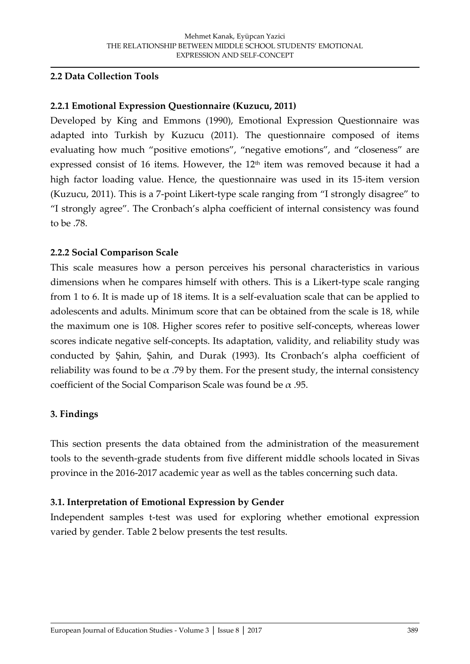#### **2.2 Data Collection Tools**

#### **2.2.1 Emotional Expression Questionnaire (Kuzucu, 2011)**

Developed by King and Emmons (1990), Emotional Expression Questionnaire was adapted into Turkish by Kuzucu (2011). The questionnaire composed of items evaluating how much "positive emotions", "negative emotions", and "closeness" are expressed consist of 16 items. However, the 12<sup>th</sup> item was removed because it had a high factor loading value. Hence, the questionnaire was used in its 15-item version (Kuzucu, 2011). This is a 7-point Likert-type scale ranging from "I strongly disagree" to "I strongly agree". The Cronbach's alpha coefficient of internal consistency was found to be .78.

#### **2.2.2 Social Comparison Scale**

This scale measures how a person perceives his personal characteristics in various dimensions when he compares himself with others. This is a Likert-type scale ranging from 1 to 6. It is made up of 18 items. It is a self-evaluation scale that can be applied to adolescents and adults. Minimum score that can be obtained from the scale is 18, while the maximum one is 108. Higher scores refer to positive self-concepts, whereas lower scores indicate negative self-concepts. Its adaptation, validity, and reliability study was conducted by Şahin, Şahin, and Durak (1993). Its Cronbach's alpha coefficient of reliability was found to be  $\alpha$  .79 by them. For the present study, the internal consistency coefficient of the Social Comparison Scale was found be  $\alpha$  .95.

#### **3. Findings**

This section presents the data obtained from the administration of the measurement tools to the seventh-grade students from five different middle schools located in Sivas province in the 2016-2017 academic year as well as the tables concerning such data.

#### **3.1. Interpretation of Emotional Expression by Gender**

Independent samples t-test was used for exploring whether emotional expression varied by gender. Table 2 below presents the test results.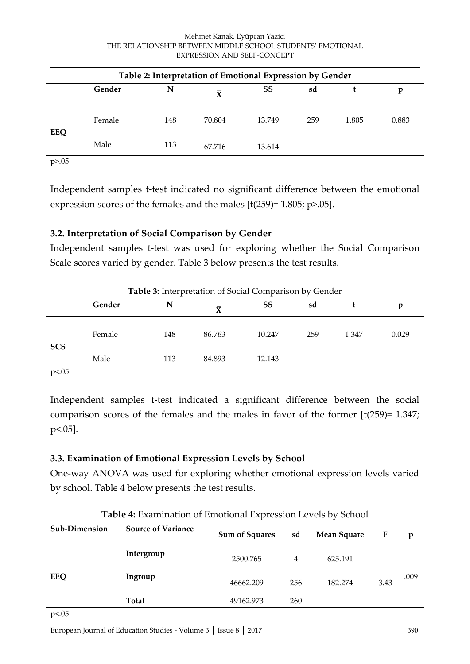#### Mehmet Kanak, Eyüpcan Yazici THE RELATIONSHIP BETWEEN MIDDLE SCHOOL STUDENTS' EMOTIONAL EXPRESSION AND SELF-CONCEPT

| Table 2: Interpretation of Emotional Expression by Gender |        |     |                         |        |     |       |       |
|-----------------------------------------------------------|--------|-----|-------------------------|--------|-----|-------|-------|
|                                                           | Gender | N   | $\overline{\mathbf{X}}$ | SS     | sd  |       | p     |
| EEQ                                                       | Female | 148 | 70.804                  | 13.749 | 259 | 1.805 | 0.883 |
|                                                           | Male   | 113 | 67.716                  | 13.614 |     |       |       |

p>.05

Independent samples t-test indicated no significant difference between the emotional expression scores of the females and the males [t(259)= 1.805; p>.05].

### **3.2. Interpretation of Social Comparison by Gender**

Independent samples t-test was used for exploring whether the Social Comparison Scale scores varied by gender. Table 3 below presents the test results.

| Table 3: Interpretation of Social Comparison by Gender |        |     |                         |        |     |       |       |
|--------------------------------------------------------|--------|-----|-------------------------|--------|-----|-------|-------|
|                                                        | Gender | N   | $\overline{\mathbf{X}}$ | SS     | sd  |       | p     |
| <b>SCS</b>                                             | Female | 148 | 86.763                  | 10.247 | 259 | 1.347 | 0.029 |
|                                                        | Male   | 113 | 84.893                  | 12.143 |     |       |       |
| p<.05                                                  |        |     |                         |        |     |       |       |

Independent samples t-test indicated a significant difference between the social comparison scores of the females and the males in favor of the former [t(259)= 1.347; p<.05].

### **3.3. Examination of Emotional Expression Levels by School**

One-way ANOVA was used for exploring whether emotional expression levels varied by school. Table 4 below presents the test results.

| <b>TWEE H</b> EXMITINGED IT EMPLOYMENT EXPLOSION ECTOD BY BEHOOD |                           |                       |     |                    |      |      |
|------------------------------------------------------------------|---------------------------|-----------------------|-----|--------------------|------|------|
| Sub-Dimension                                                    | <b>Source of Variance</b> | <b>Sum of Squares</b> | sd  | <b>Mean Square</b> | F    | p    |
|                                                                  | Intergroup                | 2500.765              | 4   | 625.191            |      |      |
| EEQ                                                              | Ingroup                   | 46662.209             | 256 | 182.274            | 3.43 | .009 |
|                                                                  | <b>Total</b>              | 49162.973             | 260 |                    |      |      |
| p<.05                                                            |                           |                       |     |                    |      |      |

**Table 4:** Examination of Emotional Expression Levels by School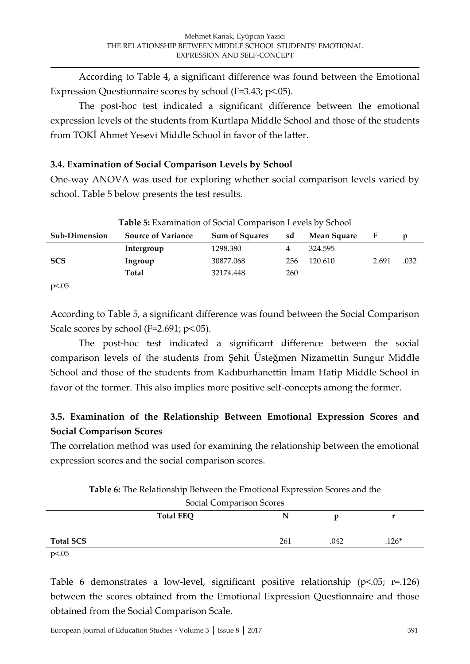According to Table 4, a significant difference was found between the Emotional Expression Questionnaire scores by school (F=3.43; p<.05).

The post-hoc test indicated a significant difference between the emotional expression levels of the students from Kurtlapa Middle School and those of the students from TOKİ Ahmet Yesevi Middle School in favor of the latter.

#### **3.4. Examination of Social Comparison Levels by School**

One-way ANOVA was used for exploring whether social comparison levels varied by school. Table 5 below presents the test results.

| <b>Table 5:</b> Examination of Social Comparison Levels by School |                           |                       |     |             |       |      |
|-------------------------------------------------------------------|---------------------------|-----------------------|-----|-------------|-------|------|
| Sub-Dimension                                                     | <b>Source of Variance</b> | <b>Sum of Squares</b> | sd  | Mean Square | F     |      |
|                                                                   | Intergroup                | 1298.380              | 4   | 324.595     |       |      |
| <b>SCS</b>                                                        | Ingroup                   | 30877.068             | 256 | 120.610     | 2.691 | .032 |
|                                                                   | Total                     | 32174.448             | 260 |             |       |      |

p<.05

According to Table 5, a significant difference was found between the Social Comparison Scale scores by school (F=2.691; p<.05).

The post-hoc test indicated a significant difference between the social comparison levels of the students from Şehit Üsteğmen Nizamettin Sungur Middle School and those of the students from Kadıburhanettin İmam Hatip Middle School in favor of the former. This also implies more positive self-concepts among the former.

## **3.5. Examination of the Relationship Between Emotional Expression Scores and Social Comparison Scores**

The correlation method was used for examining the relationship between the emotional expression scores and the social comparison scores.

**Table 6:** The Relationship Between the Emotional Expression Scores and the Social Comparison Scores

| <b><i><u>JULIAL CULIPALISUL JULIUS</u></i></b> |                  |     |      |         |
|------------------------------------------------|------------------|-----|------|---------|
|                                                | <b>Total EEQ</b> |     |      |         |
| <b>Total SCS</b>                               |                  | 261 | .042 | $.126*$ |
| $n \times 05$                                  |                  |     |      |         |

p<.05

Table 6 demonstrates a low-level, significant positive relationship ( $p<05$ ;  $r=126$ ) between the scores obtained from the Emotional Expression Questionnaire and those obtained from the Social Comparison Scale.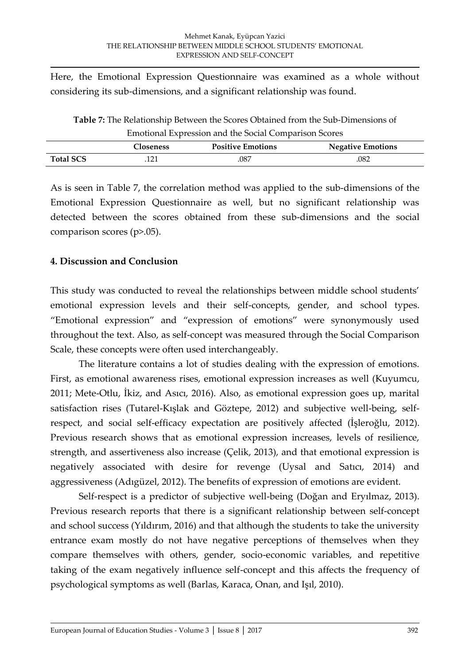Here, the Emotional Expression Questionnaire was examined as a whole without considering its sub-dimensions, and a significant relationship was found.

| Table 7: The Relationship Between the Scores Obtained from the Sub-Dimensions of |     |      |      |  |  |
|----------------------------------------------------------------------------------|-----|------|------|--|--|
| Emotional Expression and the Social Comparison Scores                            |     |      |      |  |  |
| <b>Positive Emotions</b><br><b>Negative Emotions</b><br><b>Closeness</b>         |     |      |      |  |  |
| <b>Total SCS</b>                                                                 | 121 | .087 | .082 |  |  |

As is seen in Table 7, the correlation method was applied to the sub-dimensions of the Emotional Expression Questionnaire as well, but no significant relationship was detected between the scores obtained from these sub-dimensions and the social comparison scores (p>.05).

#### **4. Discussion and Conclusion**

This study was conducted to reveal the relationships between middle school students' emotional expression levels and their self-concepts, gender, and school types. "Emotional expression" and "expression of emotions" were synonymously used throughout the text. Also, as self-concept was measured through the Social Comparison Scale, these concepts were often used interchangeably.

The literature contains a lot of studies dealing with the expression of emotions. First, as emotional awareness rises, emotional expression increases as well (Kuyumcu, 2011; Mete-Otlu, İkiz, and Asıcı, 2016). Also, as emotional expression goes up, marital satisfaction rises (Tutarel-Kışlak and Göztepe, 2012) and subjective well-being, selfrespect, and social self-efficacy expectation are positively affected (İşleroğlu, 2012). Previous research shows that as emotional expression increases, levels of resilience, strength, and assertiveness also increase (Çelik, 2013), and that emotional expression is negatively associated with desire for revenge (Uysal and Satıcı, 2014) and aggressiveness (Adıgüzel, 2012). The benefits of expression of emotions are evident.

Self-respect is a predictor of subjective well-being (Doğan and Eryılmaz, 2013). Previous research reports that there is a significant relationship between self-concept and school success (Yıldırım, 2016) and that although the students to take the university entrance exam mostly do not have negative perceptions of themselves when they compare themselves with others, gender, socio-economic variables, and repetitive taking of the exam negatively influence self-concept and this affects the frequency of psychological symptoms as well (Barlas, Karaca, Onan, and Işıl, 2010).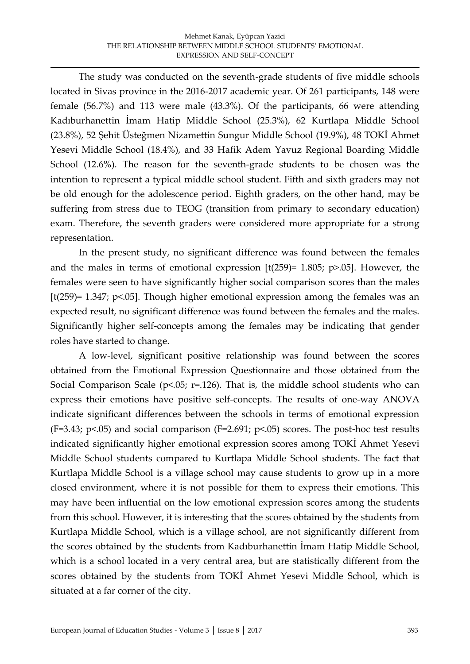The study was conducted on the seventh-grade students of five middle schools located in Sivas province in the 2016-2017 academic year. Of 261 participants, 148 were female (56.7%) and 113 were male (43.3%). Of the participants, 66 were attending Kadıburhanettin İmam Hatip Middle School (25.3%), 62 Kurtlapa Middle School (23.8%), 52 Şehit Üsteğmen Nizamettin Sungur Middle School (19.9%), 48 TOKİ Ahmet Yesevi Middle School (18.4%), and 33 Hafik Adem Yavuz Regional Boarding Middle School (12.6%). The reason for the seventh-grade students to be chosen was the intention to represent a typical middle school student. Fifth and sixth graders may not be old enough for the adolescence period. Eighth graders, on the other hand, may be suffering from stress due to TEOG (transition from primary to secondary education) exam. Therefore, the seventh graders were considered more appropriate for a strong representation.

In the present study, no significant difference was found between the females and the males in terms of emotional expression  $[t(259)= 1.805; p>0.05]$ . However, the females were seen to have significantly higher social comparison scores than the males [t(259)= 1.347; p<.05]. Though higher emotional expression among the females was an expected result, no significant difference was found between the females and the males. Significantly higher self-concepts among the females may be indicating that gender roles have started to change.

A low-level, significant positive relationship was found between the scores obtained from the Emotional Expression Questionnaire and those obtained from the Social Comparison Scale ( $p$ <.05;  $r$ =.126). That is, the middle school students who can express their emotions have positive self-concepts. The results of one-way ANOVA indicate significant differences between the schools in terms of emotional expression (F=3.43; p<.05) and social comparison (F=2.691; p<.05) scores. The post-hoc test results indicated significantly higher emotional expression scores among TOKİ Ahmet Yesevi Middle School students compared to Kurtlapa Middle School students. The fact that Kurtlapa Middle School is a village school may cause students to grow up in a more closed environment, where it is not possible for them to express their emotions. This may have been influential on the low emotional expression scores among the students from this school. However, it is interesting that the scores obtained by the students from Kurtlapa Middle School, which is a village school, are not significantly different from the scores obtained by the students from Kadıburhanettin İmam Hatip Middle School, which is a school located in a very central area, but are statistically different from the scores obtained by the students from TOKİ Ahmet Yesevi Middle School, which is situated at a far corner of the city.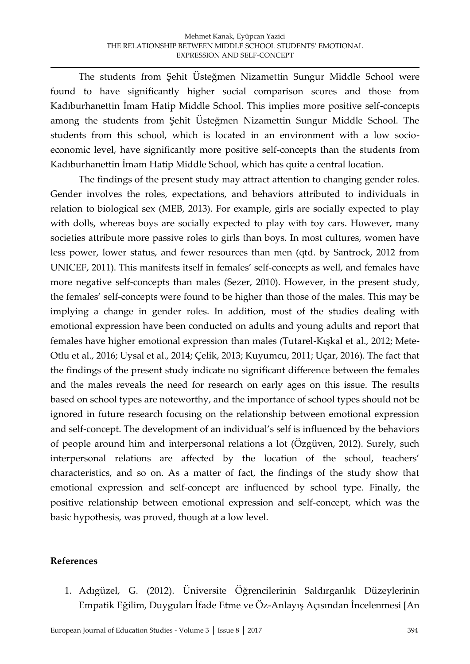The students from Şehit Üsteğmen Nizamettin Sungur Middle School were found to have significantly higher social comparison scores and those from Kadıburhanettin İmam Hatip Middle School. This implies more positive self-concepts among the students from Şehit Üsteğmen Nizamettin Sungur Middle School. The students from this school, which is located in an environment with a low socioeconomic level, have significantly more positive self-concepts than the students from Kadıburhanettin İmam Hatip Middle School, which has quite a central location.

The findings of the present study may attract attention to changing gender roles. Gender involves the roles, expectations, and behaviors attributed to individuals in relation to biological sex (MEB, 2013). For example, girls are socially expected to play with dolls, whereas boys are socially expected to play with toy cars. However, many societies attribute more passive roles to girls than boys. In most cultures, women have less power, lower status, and fewer resources than men (qtd. by Santrock, 2012 from UNICEF, 2011). This manifests itself in females' self-concepts as well, and females have more negative self-concepts than males (Sezer, 2010). However, in the present study, the females' self-concepts were found to be higher than those of the males. This may be implying a change in gender roles. In addition, most of the studies dealing with emotional expression have been conducted on adults and young adults and report that females have higher emotional expression than males (Tutarel-Kışkal et al., 2012; Mete-Otlu et al., 2016; Uysal et al., 2014; Çelik, 2013; Kuyumcu, 2011; Uçar, 2016). The fact that the findings of the present study indicate no significant difference between the females and the males reveals the need for research on early ages on this issue. The results based on school types are noteworthy, and the importance of school types should not be ignored in future research focusing on the relationship between emotional expression and self-concept. The development of an individual's self is influenced by the behaviors of people around him and interpersonal relations a lot (Özgüven, 2012). Surely, such interpersonal relations are affected by the location of the school, teachers' characteristics, and so on. As a matter of fact, the findings of the study show that emotional expression and self-concept are influenced by school type. Finally, the positive relationship between emotional expression and self-concept, which was the basic hypothesis, was proved, though at a low level.

#### **References**

1. Adıgüzel, G. (2012). Üniversite Öğrencilerinin Saldırganlık Düzeylerinin Empatik Eğilim, Duyguları İfade Etme ve Öz-Anlayış Açısından İncelenmesi [An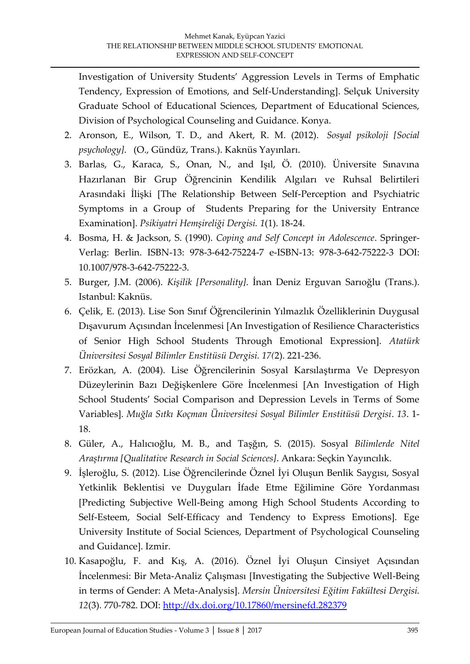Investigation of University Students' Aggression Levels in Terms of Emphatic Tendency, Expression of Emotions, and Self-Understanding]. Selçuk University Graduate School of Educational Sciences, Department of Educational Sciences, Division of Psychological Counseling and Guidance. Konya.

- 2. Aronson, E., Wilson, T. D., and Akert, R. M. (2012). *Sosyal psikoloji [Social psychology]*. (O., Gündüz, Trans.). Kaknüs Yayınları.
- 3. Barlas, G., Karaca, S., Onan, N., and Işıl, Ö. (2010). Üniversite Sınavına Hazırlanan Bir Grup Öğrencinin Kendilik Algıları ve Ruhsal Belirtileri Arasındaki İlişki [The Relationship Between Self-Perception and Psychiatric Symptoms in a Group of Students Preparing for the University Entrance Examination]. *Psikiyatri Hemşireliği Dergisi. 1*(1). 18-24.
- 4. Bosma, H. & Jackson, S. (1990). *Coping and Self Concept in Adolescence*. Springer-Verlag: Berlin. ISBN-13: 978-3-642-75224-7 e-ISBN-13: 978-3-642-75222-3 DOI: 10.1007/978-3-642-75222-3.
- 5. Burger, J.M. (2006). *Kişilik [Personality]*. İnan Deniz Erguvan Sarıoğlu (Trans.). Istanbul: Kaknüs.
- 6. Çelik, E. (2013). Lise Son Sınıf Öğrencilerinin Yılmazlık Özelliklerinin Duygusal Dışavurum Açısından İncelenmesi [An Investigation of Resilience Characteristics of Senior High School Students Through Emotional Expression]. *Atatürk Üniversitesi Sosyal Bilimler Enstitüsü Dergisi. 17(*2). 221-236.
- 7. Erözkan, A. (2004). Lise Öğrencilerinin Sosyal Karsılaştırma Ve Depresyon Düzeylerinin Bazı Değişkenlere Göre İncelenmesi [An Investigation of High School Students' Social Comparison and Depression Levels in Terms of Some Variables]. *Muğla Sıtkı Koçman Üniversitesi Sosyal Bilimler Enstitüsü Dergisi*. *13*. 1- 18.
- 8. Güler, A., Halıcıoğlu, M. B., and Taşğın, S. (2015). Sosyal *Bilimlerde Nitel Araştırma [Qualitative Research in Social Sciences]*. Ankara: Seçkin Yayıncılık.
- 9. İşleroğlu, S. (2012). Lise Öğrencilerinde Öznel İyi Oluşun Benlik Saygısı, Sosyal Yetkinlik Beklentisi ve Duyguları İfade Etme Eğilimine Göre Yordanması [Predicting Subjective Well-Being among High School Students According to Self-Esteem, Social Self-Efficacy and Tendency to Express Emotions]. Ege University Institute of Social Sciences, Department of Psychological Counseling and Guidance]. Izmir.
- 10. Kasapoğlu, F. and Kış, A. (2016). Öznel İyi Oluşun Cinsiyet Açısından Incelenmesi: Bir Meta-Analiz Çalışması [Investigating the Subjective Well-Being] in terms of Gender: A Meta-Analysis]. *Mersin Üniversitesi Eğitim Fakültesi Dergisi. 12*(3). 770-782. DOI:<http://dx.doi.org/10.17860/mersinefd.282379>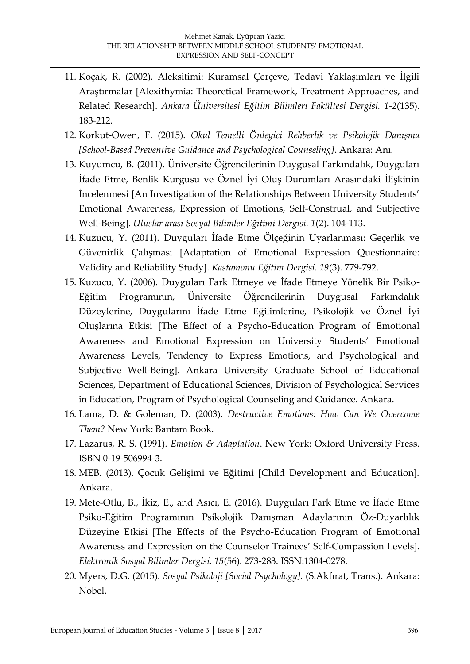- 11. Koçak, R. (2002). Aleksitimi: Kuramsal Çerçeve, Tedavi Yaklaşımları ve İlgili Araştırmalar [Alexithymia: Theoretical Framework, Treatment Approaches, and Related Research]. *Ankara Üniversitesi Eğitim Bilimleri Fakültesi Dergisi. 1-2*(135). 183-212.
- 12. Korkut-Owen, F. (2015). *Okul Temelli Önleyici Rehberlik ve Psikolojik Danışma [School-Based Preventive Guidance and Psychological Counseling]*. Ankara: Anı.
- 13. Kuyumcu, B. (2011). Üniversite Öğrencilerinin Duygusal Farkındalık, Duyguları İfade Etme, Benlik Kurgusu ve Öznel İyi Oluş Durumları Arasındaki İlişkinin İncelenmesi [An Investigation of the Relationships Between University Students' Emotional Awareness, Expression of Emotions, Self-Construal, and Subjective Well-Being]. *Uluslar arası Sosyal Bilimler Eğitimi Dergisi. 1*(2). 104-113.
- 14. Kuzucu, Y. (2011). Duyguları İfade Etme Ölçeğinin Uyarlanması: Geçerlik ve Güvenirlik Çalışması [Adaptation of Emotional Expression Questionnaire: Validity and Reliability Study]. *Kastamonu Eğitim Dergisi. 19*(3). 779-792.
- 15. Kuzucu, Y. (2006). Duyguları Fark Etmeye ve İfade Etmeye Yönelik Bir Psiko-Eğitim Programının, Üniversite Öğrencilerinin Duygusal Farkındalık Düzeylerine, Duygularını İfade Etme Eğilimlerine, Psikolojik ve Öznel İyi Oluşlarına Etkisi [The Effect of a Psycho-Education Program of Emotional Awareness and Emotional Expression on University Students' Emotional Awareness Levels, Tendency to Express Emotions, and Psychological and Subjective Well-Being]. Ankara University Graduate School of Educational Sciences, Department of Educational Sciences, Division of Psychological Services in Education, Program of Psychological Counseling and Guidance. Ankara.
- 16. Lama, D. & Goleman, D. (2003). *Destructive Emotions: How Can We Overcome Them?* New York: Bantam Book.
- 17. Lazarus, R. S. (1991). *Emotion & Adaptation*. New York: Oxford University Press. ISBN 0-19-506994-3.
- 18. MEB. (2013). Çocuk Gelişimi ve Eğitimi [Child Development and Education]. Ankara.
- 19. Mete-Otlu, B., İkiz, E., and Asıcı, E. (2016). Duyguları Fark Etme ve İfade Etme Psiko-Eğitim Programının Psikolojik Danışman Adaylarının Öz-Duyarlılık Düzeyine Etkisi [The Effects of the Psycho-Education Program of Emotional Awareness and Expression on the Counselor Trainees' Self-Compassion Levels]. *Elektronik Sosyal Bilimler Dergisi. 15*(56). 273-283. ISSN:1304-0278.
- 20. Myers, D.G. (2015). *Sosyal Psikoloji [Social Psychology].* (S.Akfırat, Trans.). Ankara: Nobel.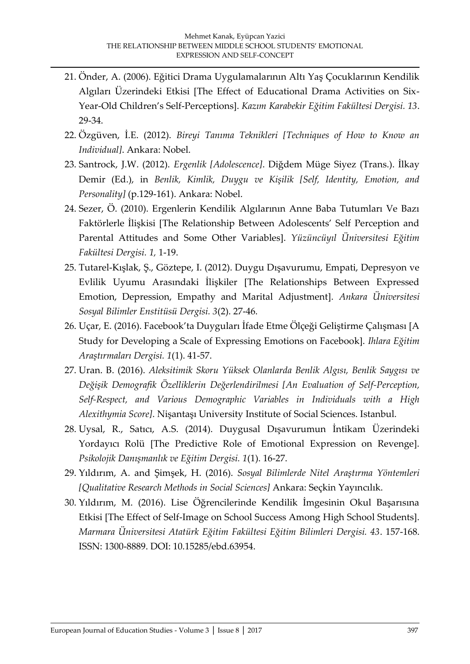- 21. Önder, A. (2006). Eğitici Drama Uygulamalarının Altı Yaş Çocuklarının Kendilik Algıları Üzerindeki Etkisi [The Effect of Educational Drama Activities on Six-Year-Old Children's Self-Perceptions]. *Kazım Karabekir Eğitim Fakültesi Dergisi. 13*. 29-34.
- 22. Özgüven, İ.E. (2012). *Bireyi Tanıma Teknikleri [Techniques of How to Know an Individual]*. Ankara: Nobel.
- 23. Santrock, J.W. (2012). *Ergenlik [Adolescence]*. Diğdem Müge Siyez (Trans.). İlkay Demir (Ed.), in *Benlik, Kimlik, Duygu ve Kişilik [Self, Identity, Emotion, and Personality]* (p.129-161). Ankara: Nobel.
- 24. Sezer, Ö. (2010). Ergenlerin Kendilik Algılarının Anne Baba Tutumları Ve Bazı Faktörlerle İlişkisi [The Relationship Between Adolescents' Self Perception and Parental Attitudes and Some Other Variables]. *Yüzüncüyıl Üniversitesi Eğitim Fakültesi Dergisi. 1,* 1-19.
- 25. Tutarel-Kışlak, Ş., Göztepe, I. (2012). Duygu Dışavurumu, Empati, Depresyon ve Evlilik Uyumu Arasındaki İlişkiler [The Relationships Between Expressed Emotion, Depression, Empathy and Marital Adjustment]. *Ankara Üniversitesi Sosyal Bilimler Enstitüsü Dergisi. 3*(2). 27-46.
- 26. Uçar, E. (2016). Facebook'ta Duyguları İfade Etme Ölçeği Geliştirme Çalışması [A Study for Developing a Scale of Expressing Emotions on Facebook]. *Ihlara Eğitim Araştırmaları Dergisi. 1*(1). 41-57.
- 27. Uran. B. (2016). *Aleksitimik Skoru Yüksek Olanlarda Benlik Algısı, Benlik Saygısı ve Değişik Demografik Özelliklerin Değerlendirilmesi [An Evaluation of Self-Perception, Self-Respect, and Various Demographic Variables in Individuals with a High Alexithymia Score]*. Nişantaşı University Institute of Social Sciences. Istanbul.
- 28. Uysal, R., Satıcı, A.S. (2014). Duygusal Dışavurumun İntikam Üzerindeki Yordayıcı Rolü [The Predictive Role of Emotional Expression on Revenge]. *Psikolojik Danışmanlık ve Eğitim Dergisi. 1*(1). 16-27.
- 29. Yıldırım, A. and Şimşek, H. (2016). *Sosyal Bilimlerde Nitel Araştırma Yöntemleri [Qualitative Research Methods in Social Sciences]* Ankara: Seçkin Yayıncılık.
- 30. Yıldırım, M. (2016). Lise Öğrencilerinde Kendilik İmgesinin Okul Başarısına Etkisi [The Effect of Self-Image on School Success Among High School Students]. *Marmara Üniversitesi Atatürk Eğitim Fakültesi Eğitim Bilimleri Dergisi. 43*. 157-168. ISSN: 1300-8889. DOI: 10.15285/ebd.63954.